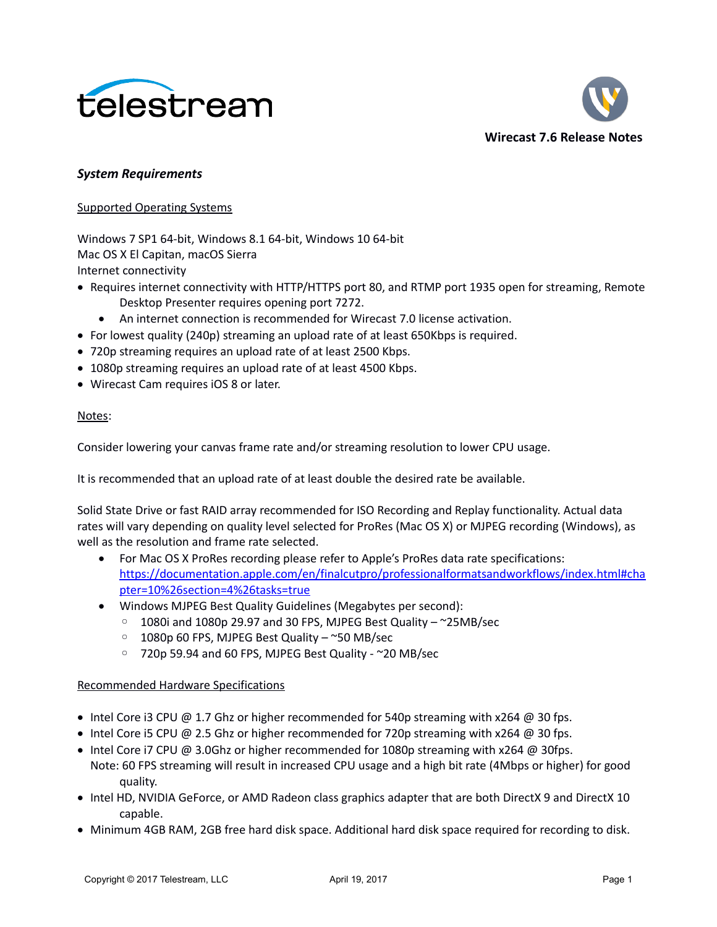



## *System Requirements*

### Supported Operating Systems

Windows 7 SP1 64-bit, Windows 8.1 64-bit, Windows 10 64-bit Mac OS X El Capitan, macOS Sierra Internet connectivity

- Requires internet connectivity with HTTP/HTTPS port 80, and RTMP port 1935 open for streaming, Remote Desktop Presenter requires opening port 7272.
	- An internet connection is recommended for Wirecast 7.0 license activation.
- For lowest quality (240p) streaming an upload rate of at least 650Kbps is required.
- 720p streaming requires an upload rate of at least 2500 Kbps.
- 1080p streaming requires an upload rate of at least 4500 Kbps.
- Wirecast Cam requires iOS 8 or later.

### Notes:

Consider lowering your canvas frame rate and/or streaming resolution to lower CPU usage.

It is recommended that an upload rate of at least double the desired rate be available.

Solid State Drive or fast RAID array recommended for ISO Recording and Replay functionality. Actual data rates will vary depending on quality level selected for ProRes (Mac OS X) or MJPEG recording (Windows), as well as the resolution and frame rate selected.

- For Mac OS X ProRes recording please refer to Apple's ProRes data rate specifications: [https://documentation.apple.com/en/finalcutpro/professionalformatsandworkflows/index.html#cha](https://documentation.apple.com/en/finalcutpro/professionalformatsandworkflows/index.html#chapter=10%26section=4%26tasks=true) [pter=10%26section=4%26tasks=true](https://documentation.apple.com/en/finalcutpro/professionalformatsandworkflows/index.html#chapter=10%26section=4%26tasks=true)
- Windows MJPEG Best Quality Guidelines (Megabytes per second):
	- 1080i and 1080p 29.97 and 30 FPS, MJPEG Best Quality ~25MB/sec
	- 1080p 60 FPS, MJPEG Best Quality ~50 MB/sec
	- 720p 59.94 and 60 FPS, MJPEG Best Quality ~20 MB/sec

## Recommended Hardware Specifications

- Intel Core i3 CPU  $@$  1.7 Ghz or higher recommended for 540p streaming with x264  $@$  30 fps.
- $\bullet$  Intel Core i5 CPU @ 2.5 Ghz or higher recommended for 720p streaming with x264 @ 30 fps.
- $\bullet$  Intel Core i7 CPU @ 3.0Ghz or higher recommended for 1080p streaming with x264 @ 30fps. Note: 60 FPS streaming will result in increased CPU usage and a high bit rate (4Mbps or higher) for good quality.
- Intel HD, NVIDIA GeForce, or AMD Radeon class graphics adapter that are both DirectX 9 and DirectX 10 capable.
- Minimum 4GB RAM, 2GB free hard disk space. Additional hard disk space required for recording to disk.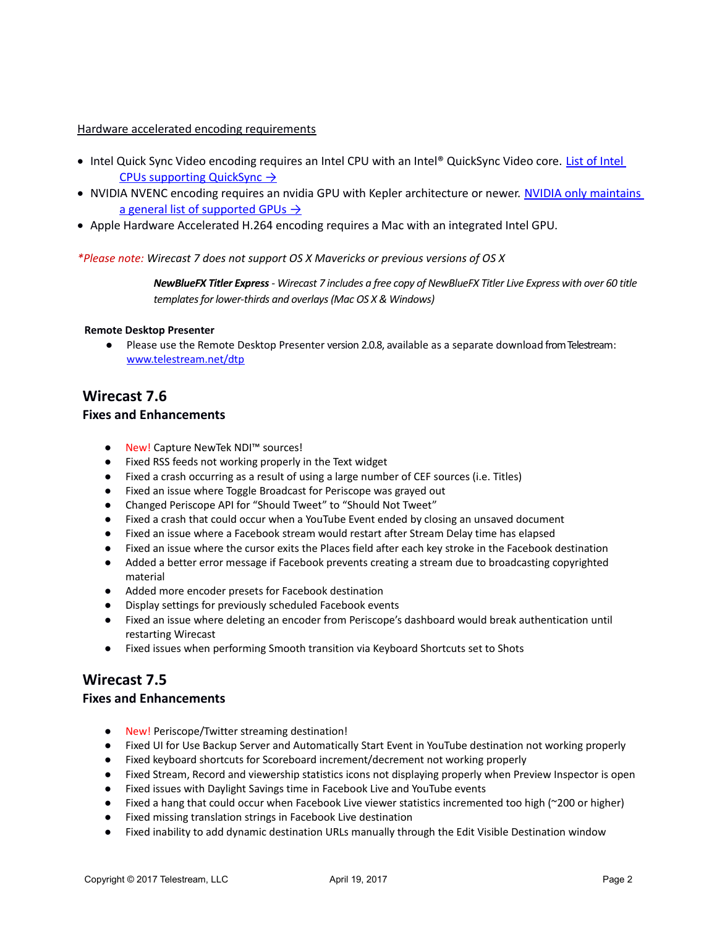### Hardware accelerated encoding requirements

- Intel Quick Sync Video encoding requires an Intel CPU with an Intel® QuickSync Video core. List of Intel  [CPUs supporting QuickSync](http://ark.intel.com/search/advanced?QuickSyncVideo=true&MarketSegment=DT) →
- . NVIDIA NVENC encoding requires an nvidia GPU with Kepler architecture or newer. NVIDIA only maintains a general list of supported GPUs  $\rightarrow$
- Apple Hardware Accelerated H.264 encoding requires a Mac with an integrated Intel GPU.

### *\*Please note: Wirecast 7 does not support OS X Mavericks or previous versions of OS X*

*NewBlueFX Titler Express - Wirecast 7 includes a free copy of NewBlueFX Titler Live Express with over 60 title templates for lower-thirds and overlays (Mac OS X & Windows)*

#### **Remote Desktop Presenter**

● Please use the Remote Desktop Presenter version 2.0.8, available as a separate download from Telestream: www.telestream.net/dtp

# **Wirecast 7.6**

### **Fixes and Enhancements**

- New! Capture NewTek NDI™ sources!
- Fixed RSS feeds not working properly in the Text widget
- Fixed a crash occurring as a result of using a large number of CEF sources (i.e. Titles)
- Fixed an issue where Toggle Broadcast for Periscope was grayed out
- Changed Periscope API for "Should Tweet" to "Should Not Tweet"
- Fixed a crash that could occur when a YouTube Event ended by closing an unsaved document
- Fixed an issue where a Facebook stream would restart after Stream Delay time has elapsed
- Fixed an issue where the cursor exits the Places field after each key stroke in the Facebook destination
- Added a better error message if Facebook prevents creating a stream due to broadcasting copyrighted material
- Added more encoder presets for Facebook destination
- Display settings for previously scheduled Facebook events
- Fixed an issue where deleting an encoder from Periscope's dashboard would break authentication until restarting Wirecast
- Fixed issues when performing Smooth transition via Keyboard Shortcuts set to Shots

# **Wirecast 7.5**

## **Fixes and Enhancements**

- New! Periscope/Twitter streaming destination!
- Fixed UI for Use Backup Server and Automatically Start Event in YouTube destination not working properly
- Fixed keyboard shortcuts for Scoreboard increment/decrement not working properly
- Fixed Stream, Record and viewership statistics icons not displaying properly when Preview Inspector is open
- Fixed issues with Daylight Savings time in Facebook Live and YouTube events
- Fixed a hang that could occur when Facebook Live viewer statistics incremented too high (~200 or higher)
- Fixed missing translation strings in Facebook Live destination
- Fixed inability to add dynamic destination URLs manually through the Edit Visible Destination window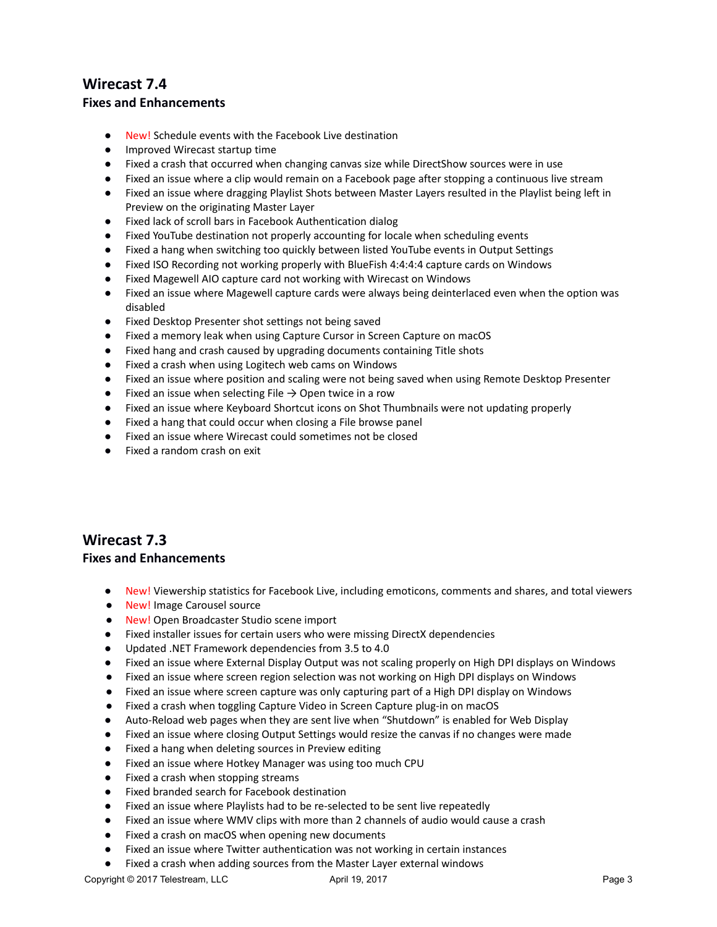# **Wirecast 7.4 Fixes and Enhancements**

- New! Schedule events with the Facebook Live destination
- Improved Wirecast startup time
- Fixed a crash that occurred when changing canvas size while DirectShow sources were in use
- Fixed an issue where a clip would remain on a Facebook page after stopping a continuous live stream
- Fixed an issue where dragging Playlist Shots between Master Layers resulted in the Playlist being left in Preview on the originating Master Layer
- Fixed lack of scroll bars in Facebook Authentication dialog
- Fixed YouTube destination not properly accounting for locale when scheduling events
- Fixed a hang when switching too quickly between listed YouTube events in Output Settings
- Fixed ISO Recording not working properly with BlueFish 4:4:4:4 capture cards on Windows
- Fixed Magewell AIO capture card not working with Wirecast on Windows
- Fixed an issue where Magewell capture cards were always being deinterlaced even when the option was disabled
- Fixed Desktop Presenter shot settings not being saved
- Fixed a memory leak when using Capture Cursor in Screen Capture on macOS
- Fixed hang and crash caused by upgrading documents containing Title shots
- Fixed a crash when using Logitech web cams on Windows
- Fixed an issue where position and scaling were not being saved when using Remote Desktop Presenter
- $\bullet$  Fixed an issue when selecting File  $\rightarrow$  Open twice in a row
- Fixed an issue where Keyboard Shortcut icons on Shot Thumbnails were not updating properly
- Fixed a hang that could occur when closing a File browse panel
- Fixed an issue where Wirecast could sometimes not be closed
- Fixed a random crash on exit

# **Wirecast 7.3**

### **Fixes and Enhancements**

- New! Viewership statistics for Facebook Live, including emoticons, comments and shares, and total viewers
- New! Image Carousel source
- New! Open Broadcaster Studio scene import
- Fixed installer issues for certain users who were missing DirectX dependencies
- Updated .NET Framework dependencies from 3.5 to 4.0
- Fixed an issue where External Display Output was not scaling properly on High DPI displays on Windows
- Fixed an issue where screen region selection was not working on High DPI displays on Windows
- Fixed an issue where screen capture was only capturing part of a High DPI display on Windows
- Fixed a crash when toggling Capture Video in Screen Capture plug-in on macOS
- Auto-Reload web pages when they are sent live when "Shutdown" is enabled for Web Display
- Fixed an issue where closing Output Settings would resize the canvas if no changes were made
- Fixed a hang when deleting sources in Preview editing
- Fixed an issue where Hotkey Manager was using too much CPU
- Fixed a crash when stopping streams
- Fixed branded search for Facebook destination
- Fixed an issue where Playlists had to be re-selected to be sent live repeatedly
- Fixed an issue where WMV clips with more than 2 channels of audio would cause a crash
- Fixed a crash on macOS when opening new documents
- Fixed an issue where Twitter authentication was not working in certain instances
- Fixed a crash when adding sources from the Master Layer external windows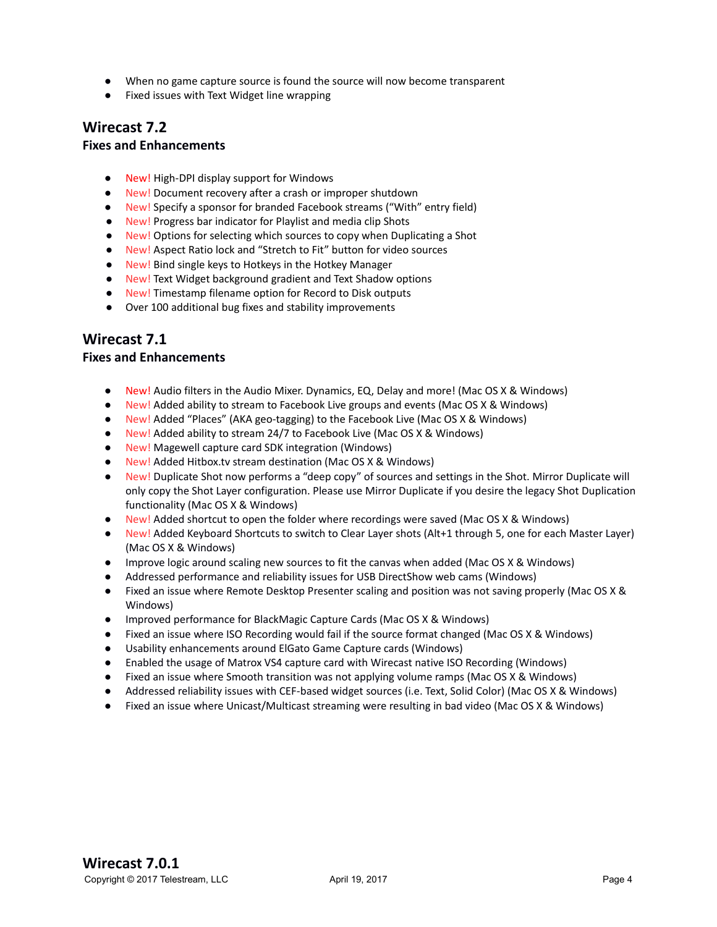- When no game capture source is found the source will now become transparent
- Fixed issues with Text Widget line wrapping

## **Wirecast 7.2**

## **Fixes and Enhancements**

- New! High-DPI display support for Windows
- New! Document recovery after a crash or improper shutdown
- New! Specify a sponsor for branded Facebook streams ("With" entry field)
- New! Progress bar indicator for Playlist and media clip Shots
- New! Options for selecting which sources to copy when Duplicating a Shot
- New! Aspect Ratio lock and "Stretch to Fit" button for video sources
- New! Bind single keys to Hotkeys in the Hotkey Manager
- New! Text Widget background gradient and Text Shadow options
- New! Timestamp filename option for Record to Disk outputs
- Over 100 additional bug fixes and stability improvements

## **Wirecast 7.1**

### **Fixes and Enhancements**

- New! Audio filters in the Audio Mixer. Dynamics, EQ, Delay and more! (Mac OS X & Windows)
- New! Added ability to stream to Facebook Live groups and events (Mac OS X & Windows)
- New! Added "Places" (AKA geo-tagging) to the Facebook Live (Mac OS X & Windows)
- New! Added ability to stream 24/7 to Facebook Live (Mac OS X & Windows)
- New! Magewell capture card SDK integration (Windows)
- New! Added Hitbox.tv stream destination (Mac OS X & Windows)
- New! Duplicate Shot now performs a "deep copy" of sources and settings in the Shot. Mirror Duplicate will only copy the Shot Layer configuration. Please use Mirror Duplicate if you desire the legacy Shot Duplication functionality (Mac OS X & Windows)
- New! Added shortcut to open the folder where recordings were saved (Mac OS X & Windows)
- New! Added Keyboard Shortcuts to switch to Clear Layer shots (Alt+1 through 5, one for each Master Layer) (Mac OS X & Windows)
- Improve logic around scaling new sources to fit the canvas when added (Mac OS X & Windows)
- Addressed performance and reliability issues for USB DirectShow web cams (Windows)
- Fixed an issue where Remote Desktop Presenter scaling and position was not saving properly (Mac OS X & Windows)
- Improved performance for BlackMagic Capture Cards (Mac OS X & Windows)
- Fixed an issue where ISO Recording would fail if the source format changed (Mac OS X & Windows)
- Usability enhancements around ElGato Game Capture cards (Windows)
- Enabled the usage of Matrox VS4 capture card with Wirecast native ISO Recording (Windows)
- Fixed an issue where Smooth transition was not applying volume ramps (Mac OS X & Windows)
- Addressed reliability issues with CEF-based widget sources (i.e. Text, Solid Color) (Mac OS X & Windows)
- Fixed an issue where Unicast/Multicast streaming were resulting in bad video (Mac OS X & Windows)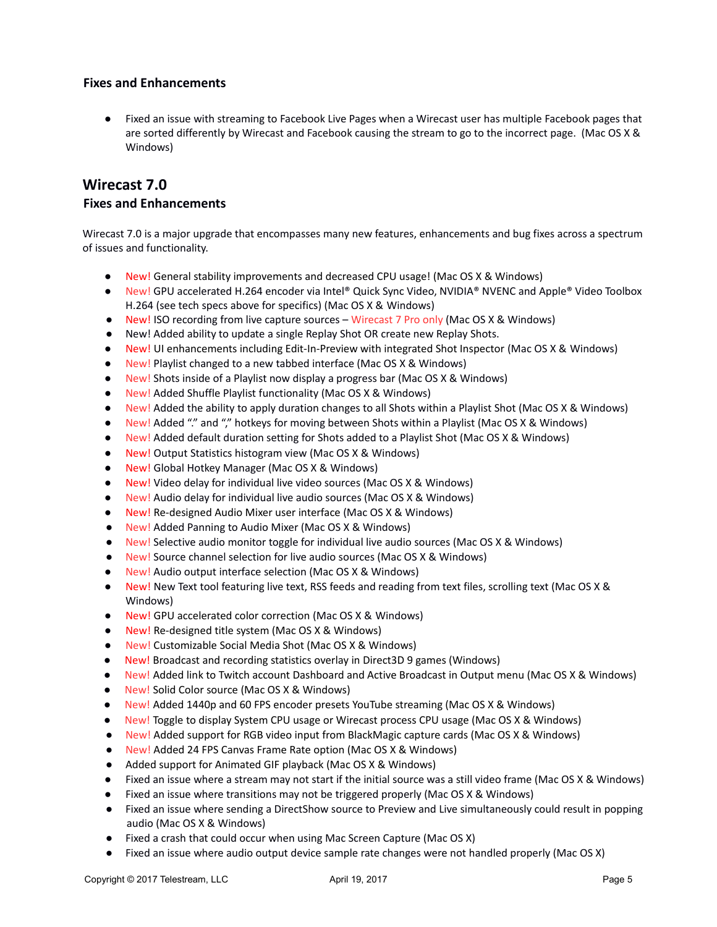## **Fixes and Enhancements**

● Fixed an issue with streaming to Facebook Live Pages when a Wirecast user has multiple Facebook pages that are sorted differently by Wirecast and Facebook causing the stream to go to the incorrect page. (Mac OS X & Windows)

# **Wirecast 7.0**

## **Fixes and Enhancements**

Wirecast 7.0 is a major upgrade that encompasses many new features, enhancements and bug fixes across a spectrum of issues and functionality.

- New! General stability improvements and decreased CPU usage! (Mac OS X & Windows)
- New! GPU accelerated H.264 encoder via Intel® Quick Sync Video, NVIDIA® NVENC and Apple® Video Toolbox H.264 (see tech specs above for specifics) (Mac OS X & Windows)
- New! ISO recording from live capture sources Wirecast 7 Pro only (Mac OS X & Windows)
- New! Added ability to update a single Replay Shot OR create new Replay Shots.
- New! UI enhancements including Edit-In-Preview with integrated Shot Inspector (Mac OS X & Windows)
- New! Playlist changed to a new tabbed interface (Mac OS X & Windows)
- New! Shots inside of a Playlist now display a progress bar (Mac OS X & Windows)
- New! Added Shuffle Playlist functionality (Mac OS X & Windows)
- New! Added the ability to apply duration changes to all Shots within a Playlist Shot (Mac OS X & Windows)
- New! Added "." and "." hotkeys for moving between Shots within a Playlist (Mac OS X & Windows)
- New! Added default duration setting for Shots added to a Playlist Shot (Mac OS X & Windows)
- New! Output Statistics histogram view (Mac OS X & Windows)
- New! Global Hotkey Manager (Mac OS X & Windows)
- New! Video delay for individual live video sources (Mac OS X & Windows)
- New! Audio delay for individual live audio sources (Mac OS X & Windows)
- New! Re-designed Audio Mixer user interface (Mac OS X & Windows)
- New! Added Panning to Audio Mixer (Mac OS X & Windows)
- New! Selective audio monitor toggle for individual live audio sources (Mac OS X & Windows)
- New! Source channel selection for live audio sources (Mac OS X & Windows)
- New! Audio output interface selection (Mac OS X & Windows)
- New! New Text tool featuring live text, RSS feeds and reading from text files, scrolling text (Mac OS X & Windows)
- New! GPU accelerated color correction (Mac OS X & Windows)
- New! Re-designed title system (Mac OS X & Windows)
- New! Customizable Social Media Shot (Mac OS X & Windows)
- New! Broadcast and recording statistics overlay in Direct3D 9 games (Windows)
- New! Added link to Twitch account Dashboard and Active Broadcast in Output menu (Mac OS X & Windows)
- New! Solid Color source (Mac OS X & Windows)
- New! Added 1440p and 60 FPS encoder presets YouTube streaming (Mac OS X & Windows)
- New! Toggle to display System CPU usage or Wirecast process CPU usage (Mac OS X & Windows)
- New! Added support for RGB video input from BlackMagic capture cards (Mac OS X & Windows)
- New! Added 24 FPS Canvas Frame Rate option (Mac OS X & Windows)
- Added support for Animated GIF playback (Mac OS X & Windows)
- Fixed an issue where a stream may not start if the initial source was a still video frame (Mac OS X & Windows)
- Fixed an issue where transitions may not be triggered properly (Mac OS X & Windows)
- Fixed an issue where sending a DirectShow source to Preview and Live simultaneously could result in popping audio (Mac OS X & Windows)
- Fixed a crash that could occur when using Mac Screen Capture (Mac OS X)
- Fixed an issue where audio output device sample rate changes were not handled properly (Mac OS X)